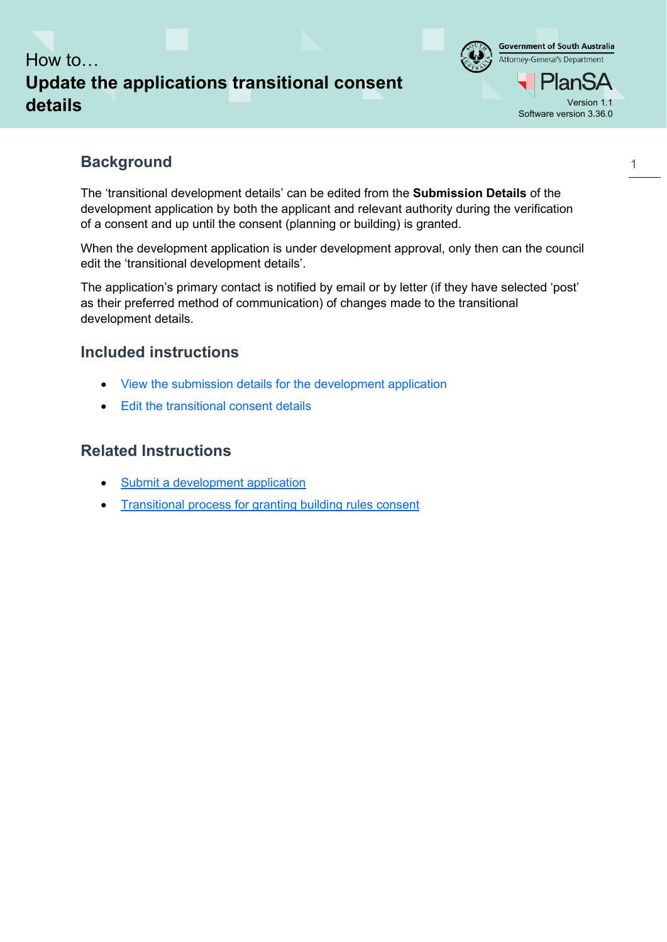



1

## **Background**

The 'transitional development details' can be edited from the **Submission Details** of the development application by both the applicant and relevant authority during the verification of a consent and up until the consent (planning or building) is granted.

When the development application is under development approval, only then can the council edit the 'transitional development details'.

The application's primary contact is notified by email or by letter (if they have selected 'post' as their preferred method of communication) of changes made to the transitional development details.

## **Included instructions**

- View [the submission details for the development application](#page-1-0)
- [Edit the transitional consent details](#page-2-0)

## **Related Instructions**

- [Submit a development application](https://plan.sa.gov.au/__data/assets/pdf_file/0020/681401/Guide_-_Submit_a_development_application.pdf)
- **[Transitional process for granting building rules consent](https://plan.sa.gov.au/__data/assets/pdf_file/0005/699557/Guide_to_Transitional_application_process_for_granting_building_rules_consent_v1.01.pdf)**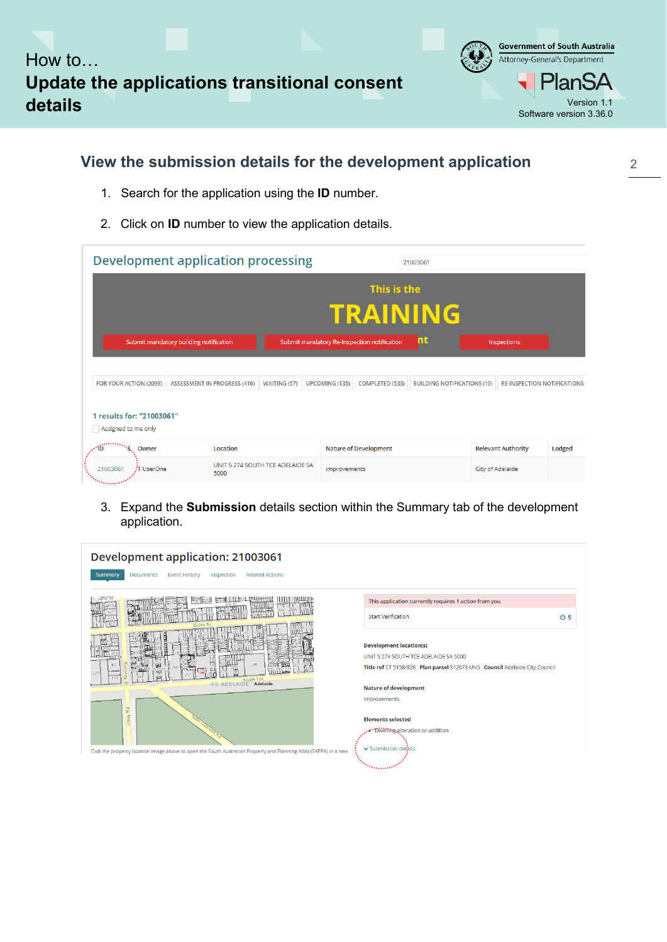



2

# <span id="page-1-0"></span>**View the submission details for the development application**

- 1. Search for the application using the **ID** number.
- 2. Click on **ID** number to view the application details.

| <b>Development application processing</b>        |                                     |                                             |                       |                              | 21003061                           |                  |                                    |        |  |  |  |
|--------------------------------------------------|-------------------------------------|---------------------------------------------|-----------------------|------------------------------|------------------------------------|------------------|------------------------------------|--------|--|--|--|
|                                                  | This is the                         |                                             |                       |                              |                                    |                  |                                    |        |  |  |  |
| <b>TRAINING</b>                                  |                                     |                                             |                       |                              |                                    |                  |                                    |        |  |  |  |
| Submit mandatory building notification           |                                     | Submit mandatory Re-Inspection notification |                       |                              | m                                  | Inspections      |                                    |        |  |  |  |
| FOR YOUR ACTION (2098)                           | <b>ASSESSMENT IN PROGRESS (416)</b> | WAITING (57)                                | <b>UPCOMING (135)</b> | COMPLETED (533)              | <b>BUILDING NOTIFICATIONS (19)</b> |                  | <b>RE-INSPECTION NOTIFICATIONS</b> |        |  |  |  |
|                                                  |                                     |                                             |                       |                              |                                    |                  |                                    |        |  |  |  |
| 1 results for: "21003061"<br>Assigned to me only |                                     |                                             |                       |                              |                                    |                  |                                    |        |  |  |  |
| Owner                                            | Location                            |                                             |                       | <b>Nature of Development</b> |                                    |                  | <b>Relevant Authority</b>          | Lodged |  |  |  |
| 21003061<br>打 UserOne                            | 5000                                | UNIT 5 274 SOUTH TCE ADELAIDE SA            | improvements          |                              |                                    | City of Adelaide |                                    |        |  |  |  |

3. Expand the **Submission** details section within the Summary tab of the development application.

| Development application: 21003061                                                                                 |                                                                                                            |  |  |  |
|-------------------------------------------------------------------------------------------------------------------|------------------------------------------------------------------------------------------------------------|--|--|--|
| <b>Related Actions</b><br><b>Documents</b><br><b>Event History</b><br>Inspection<br>Summary                       |                                                                                                            |  |  |  |
|                                                                                                                   | This application currently requires 1 action from you                                                      |  |  |  |
|                                                                                                                   | <b>Start Verification</b><br>O <sub>5</sub>                                                                |  |  |  |
|                                                                                                                   | <b>Development location(s)</b><br>UNIT 5 274 SOUTH TCE ADELAIDE SA 5000                                    |  |  |  |
| 285<br>ĭН<br>াৰোৰ<br>mun<br>226<br>South Tce                                                                      | Title ref CT 5158/826 Plan parcel S12673 UN5 Council Adelaide City Council<br><b>Nature of development</b> |  |  |  |
| <b>CC ADELAIDE Adelaide</b>                                                                                       |                                                                                                            |  |  |  |
| Rd                                                                                                                | improvements                                                                                               |  |  |  |
| Unley                                                                                                             | <b>Elements selected</b>                                                                                   |  |  |  |
|                                                                                                                   | . Dwelling alteration or addition                                                                          |  |  |  |
| Click the property location image above to open the South Australian Property and Planning Atlas (SAPPA) in a new | v Submission details                                                                                       |  |  |  |